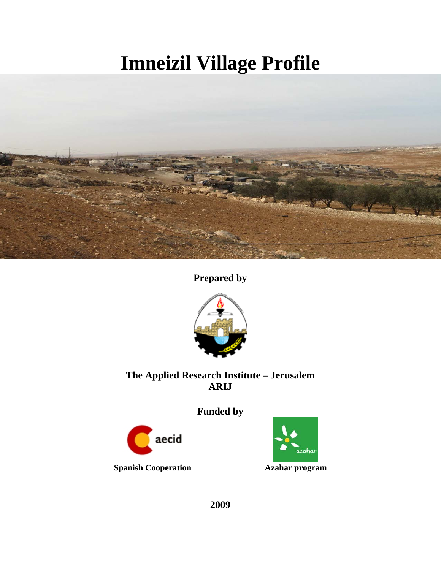# **Imneizil Village Profile**



**Prepared by** 



## **The Applied Research Institute – Jerusalem ARIJ**

## **Funded by**



 **Spanish Cooperation Azahar program** 



**2009**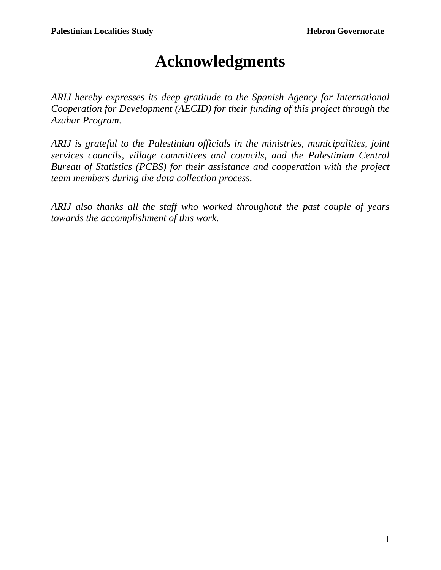## **Acknowledgments**

*ARIJ hereby expresses its deep gratitude to the Spanish Agency for International Cooperation for Development (AECID) for their funding of this project through the Azahar Program.* 

*ARIJ is grateful to the Palestinian officials in the ministries, municipalities, joint services councils, village committees and councils, and the Palestinian Central Bureau of Statistics (PCBS) for their assistance and cooperation with the project team members during the data collection process.* 

*ARIJ also thanks all the staff who worked throughout the past couple of years towards the accomplishment of this work.*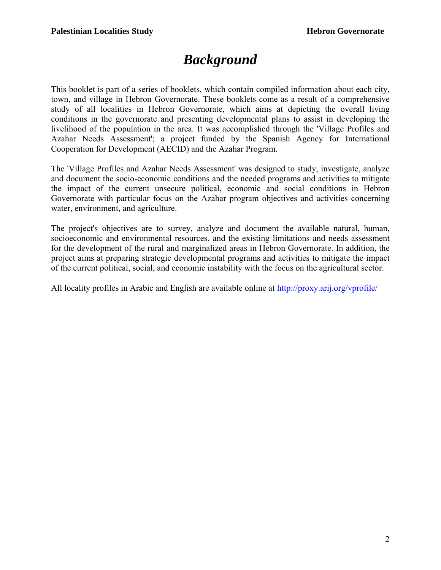## *Background*

This booklet is part of a series of booklets, which contain compiled information about each city, town, and village in Hebron Governorate. These booklets come as a result of a comprehensive study of all localities in Hebron Governorate, which aims at depicting the overall living conditions in the governorate and presenting developmental plans to assist in developing the livelihood of the population in the area. It was accomplished through the 'Village Profiles and Azahar Needs Assessment'; a project funded by the Spanish Agency for International Cooperation for Development (AECID) and the Azahar Program.

The 'Village Profiles and Azahar Needs Assessment' was designed to study, investigate, analyze and document the socio-economic conditions and the needed programs and activities to mitigate the impact of the current unsecure political, economic and social conditions in Hebron Governorate with particular focus on the Azahar program objectives and activities concerning water, environment, and agriculture.

The project's objectives are to survey, analyze and document the available natural, human, socioeconomic and environmental resources, and the existing limitations and needs assessment for the development of the rural and marginalized areas in Hebron Governorate. In addition, the project aims at preparing strategic developmental programs and activities to mitigate the impact of the current political, social, and economic instability with the focus on the agricultural sector.

All locality profiles in Arabic and English are available online at http://proxy.arij.org/vprofile/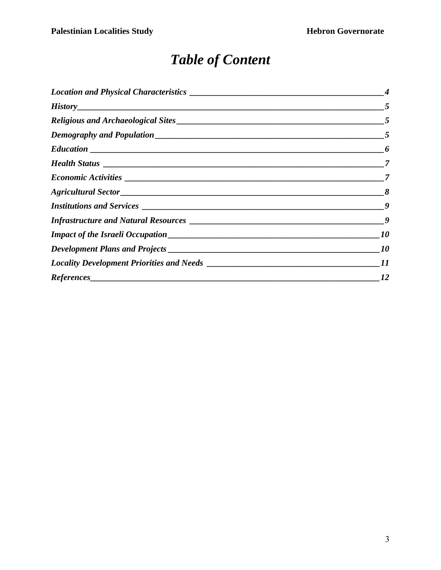## *Table of Content*

| $History$ 5 |                |
|-------------|----------------|
|             |                |
|             |                |
|             |                |
|             |                |
|             |                |
|             |                |
|             |                |
|             |                |
|             |                |
|             | <i>10</i>      |
|             |                |
|             | $\frac{12}{2}$ |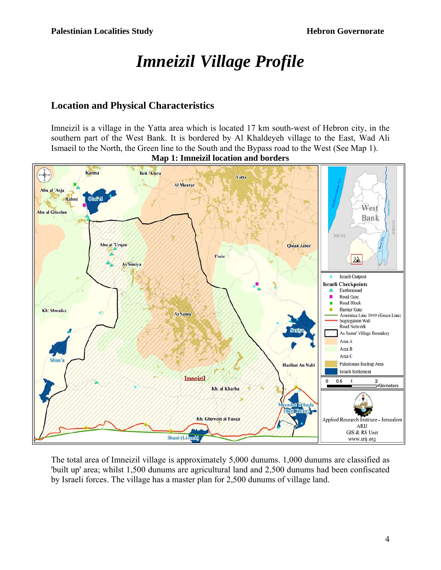## *Imneizil Village Profile*

## **Location and Physical Characteristics**

Imneizil is a village in the Yatta area which is located 17 km south-west of Hebron city, in the southern part of the West Bank. It is bordered by Al Khaldeyeh village to the East, Wad Ali Ismaeil to the North, the Green line to the South and the Bypass road to the West (See Map 1).



**Map 1: Imneizil location and borders** 

The total area of Imneizil village is approximately 5,000 dunums. 1,000 dunums are classified as 'built up' area; whilst 1,500 dunums are agricultural land and 2,500 dunums had been confiscated by Israeli forces. The village has a master plan for 2,500 dunums of village land.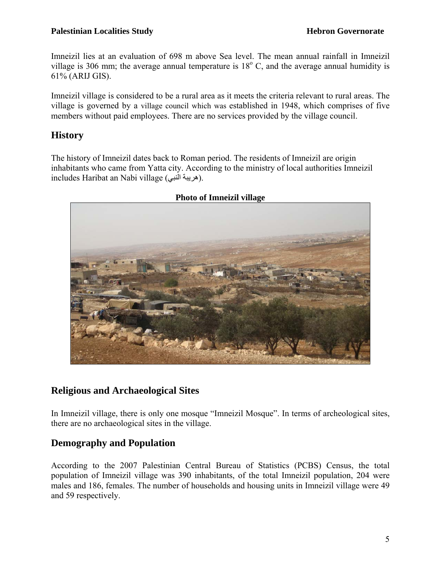#### **Palestinian Localities Study Hebron Governorate**

Imneizil lies at an evaluation of 698 m above Sea level. The mean annual rainfall in Imneizil village is 306 mm; the average annual temperature is  $18^{\circ}$  C, and the average annual humidity is 61% (ARIJ GIS).

Imneizil village is considered to be a rural area as it meets the criteria relevant to rural areas. The village is governed by a village council which was established in 1948, which comprises of five members without paid employees. There are no services provided by the village council.

## **History**

The history of Imneizil dates back to Roman period. The residents of Imneizil are origin inhabitants who came from Yatta city. According to the ministry of local authorities Imneizil includes Haribat an Nabi village (هريبة النبي).



#### **Photo of Imneizil village**

## **Religious and Archaeological Sites**

In Imneizil village, there is only one mosque "Imneizil Mosque". In terms of archeological sites, there are no archaeological sites in the village.

## **Demography and Population**

According to the 2007 Palestinian Central Bureau of Statistics (PCBS) Census, the total population of Imneizil village was 390 inhabitants, of the total Imneizil population, 204 were males and 186, females. The number of households and housing units in Imneizil village were 49 and 59 respectively.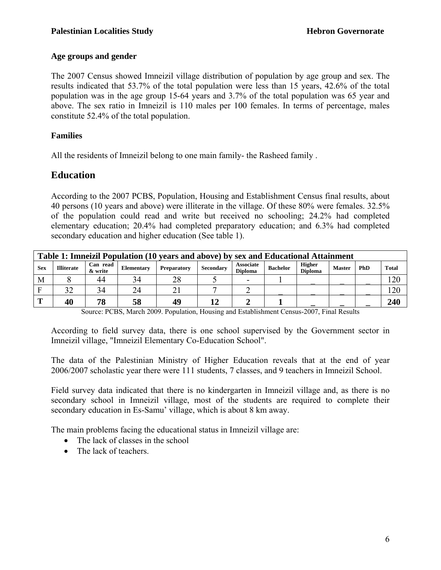#### **Age groups and gender**

The 2007 Census showed Imneizil village distribution of population by age group and sex. The results indicated that 53.7% of the total population were less than 15 years, 42.6% of the total population was in the age group 15-64 years and 3.7% of the total population was 65 year and above. The sex ratio in Imneizil is 110 males per 100 females. In terms of percentage, males constitute 52.4% of the total population.

#### **Families**

All the residents of Imneizil belong to one main family- the Rasheed family .

### **Education**

According to the 2007 PCBS, Population, Housing and Establishment Census final results, about 40 persons (10 years and above) were illiterate in the village. Of these 80% were females. 32.5% of the population could read and write but received no schooling; 24.2% had completed elementary education; 20.4% had completed preparatory education; and 6.3% had completed secondary education and higher education (See table 1).

| Table 1: Imneizil Population (10 years and above) by sex and Educational Attainment                                                                                                                                                |    |    |    |    |    |  |  |  |              |  |     |
|------------------------------------------------------------------------------------------------------------------------------------------------------------------------------------------------------------------------------------|----|----|----|----|----|--|--|--|--------------|--|-----|
| <b>Higher</b><br><b>Associate</b><br>Can read<br>PhD<br><b>Bachelor</b><br><b>Sex</b><br><b>Illiterate</b><br><b>Master</b><br><b>Secondary</b><br>Elementary<br><b>Preparatory</b><br><b>Diploma</b><br>& write<br><b>Diploma</b> |    |    |    |    |    |  |  |  | <b>Total</b> |  |     |
| M                                                                                                                                                                                                                                  |    | 44 | 34 | 28 |    |  |  |  |              |  | 20  |
|                                                                                                                                                                                                                                    |    | 34 | 24 |    |    |  |  |  |              |  | 20  |
| m                                                                                                                                                                                                                                  | 40 | 78 | 58 | 49 | 11 |  |  |  |              |  | 240 |

Source: PCBS, March 2009. Population, Housing and Establishment Census-2007, Final Results

According to field survey data, there is one school supervised by the Government sector in Imneizil village, "Imneizil Elementary Co-Education School".

The data of the Palestinian Ministry of Higher Education reveals that at the end of year 2006/2007 scholastic year there were 111 students, 7 classes, and 9 teachers in Imneizil School.

Field survey data indicated that there is no kindergarten in Imneizil village and, as there is no secondary school in Imneizil village, most of the students are required to complete their secondary education in Es-Samu' village, which is about 8 km away.

The main problems facing the educational status in Imneizil village are:

- The lack of classes in the school
- The lack of teachers.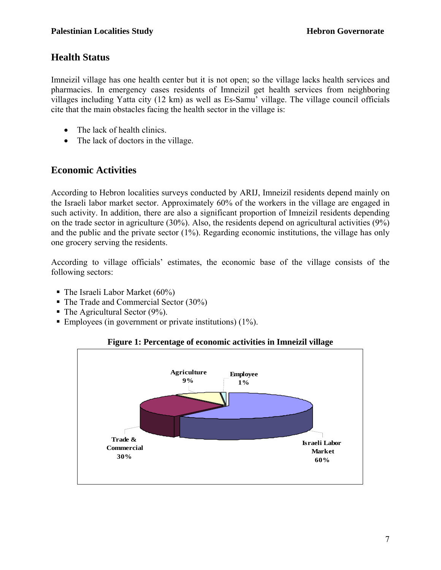## **Health Status**

Imneizil village has one health center but it is not open; so the village lacks health services and pharmacies. In emergency cases residents of Imneizil get health services from neighboring villages including Yatta city (12 km) as well as Es-Samu' village. The village council officials cite that the main obstacles facing the health sector in the village is:

- The lack of health clinics.
- The lack of doctors in the village.

## **Economic Activities**

According to Hebron localities surveys conducted by ARIJ, Imneizil residents depend mainly on the Israeli labor market sector. Approximately 60% of the workers in the village are engaged in such activity. In addition, there are also a significant proportion of Imneizil residents depending on the trade sector in agriculture (30%). Also, the residents depend on agricultural activities (9%) and the public and the private sector (1%). Regarding economic institutions, the village has only one grocery serving the residents.

According to village officials' estimates, the economic base of the village consists of the following sectors:

- $\blacksquare$  The Israeli Labor Market (60%)
- The Trade and Commercial Sector (30%)
- $\blacksquare$  The Agricultural Sector (9%).
- Employees (in government or private institutions)  $(1\%)$ .

#### **Figure 1: Percentage of economic activities in Imneizil village**

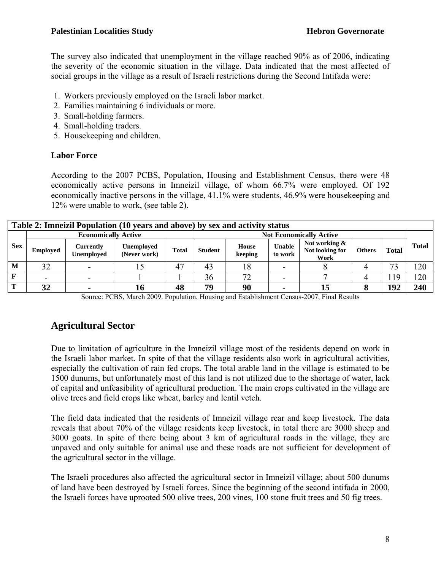The survey also indicated that unemployment in the village reached 90% as of 2006, indicating the severity of the economic situation in the village. Data indicated that the most affected of social groups in the village as a result of Israeli restrictions during the Second Intifada were:

- 1. Workers previously employed on the Israeli labor market.
- 2. Families maintaining 6 individuals or more.
- 3. Small-holding farmers.
- 4. Small-holding traders.
- 5. Housekeeping and children.

#### **Labor Force**

According to the 2007 PCBS, Population, Housing and Establishment Census, there were 48 economically active persons in Imneizil village, of whom 66.7% were employed. Of 192 economically inactive persons in the village, 41.1% were students, 46.9% were housekeeping and 12% were unable to work, (see table 2).

| Table 2: Imneizil Population (10 years and above) by sex and activity status |                            |                                |                                   |                                |                |                  |                          |                                          |               |              |              |
|------------------------------------------------------------------------------|----------------------------|--------------------------------|-----------------------------------|--------------------------------|----------------|------------------|--------------------------|------------------------------------------|---------------|--------------|--------------|
| <b>Sex</b>                                                                   | <b>Economically Active</b> |                                |                                   | <b>Not Economically Active</b> |                |                  |                          |                                          |               |              |              |
|                                                                              | <b>Employed</b>            | Currently<br><b>Unemployed</b> | <b>Unemployed</b><br>(Never work) | <b>Total</b>                   | <b>Student</b> | House<br>keeping | <b>Unable</b><br>to work | Not working &<br>Not looking for<br>Work | <b>Others</b> | <b>Total</b> | <b>Total</b> |
| M                                                                            | 32                         |                                |                                   | 47                             | 43             | 18               | -                        |                                          |               | 73           | 120          |
| F                                                                            |                            |                                |                                   |                                | 36             | 72               |                          |                                          |               | 119          | 120          |
| $\mathbf{T}$                                                                 | 32                         |                                | 10                                | 48                             | 79             | 90               | $\overline{\phantom{a}}$ | 15                                       |               | 192          | 240          |

Source: PCBS, March 2009. Population, Housing and Establishment Census-2007, Final Results

## **Agricultural Sector**

Due to limitation of agriculture in the Imneizil village most of the residents depend on work in the Israeli labor market. In spite of that the village residents also work in agricultural activities, especially the cultivation of rain fed crops. The total arable land in the village is estimated to be 1500 dunums, but unfortunately most of this land is not utilized due to the shortage of water, lack of capital and unfeasibility of agricultural production. The main crops cultivated in the village are olive trees and field crops like wheat, barley and lentil vetch.

The field data indicated that the residents of Imneizil village rear and keep livestock. The data reveals that about 70% of the village residents keep livestock, in total there are 3000 sheep and 3000 goats. In spite of there being about 3 km of agricultural roads in the village, they are unpaved and only suitable for animal use and these roads are not sufficient for development of the agricultural sector in the village.

The Israeli procedures also affected the agricultural sector in Imneizil village; about 500 dunums of land have been destroyed by Israeli forces. Since the beginning of the second intifada in 2000, the Israeli forces have uprooted 500 olive trees, 200 vines, 100 stone fruit trees and 50 fig trees.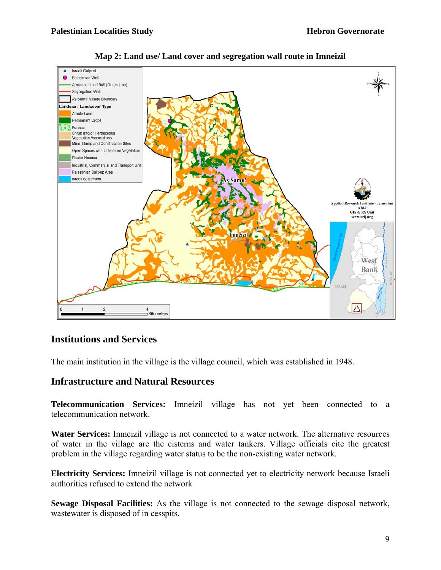

**Map 2: Land use/ Land cover and segregation wall route in Imneizil**

## **Institutions and Services**

The main institution in the village is the village council, which was established in 1948.

#### **Infrastructure and Natural Resources**

**Telecommunication Services:** Imneizil village has not yet been connected to a telecommunication network.

**Water Services:** Imneizil village is not connected to a water network. The alternative resources of water in the village are the cisterns and water tankers. Village officials cite the greatest problem in the village regarding water status to be the non-existing water network.

**Electricity Services:** Imneizil village is not connected yet to electricity network because Israeli authorities refused to extend the network

**Sewage Disposal Facilities:** As the village is not connected to the sewage disposal network, wastewater is disposed of in cesspits.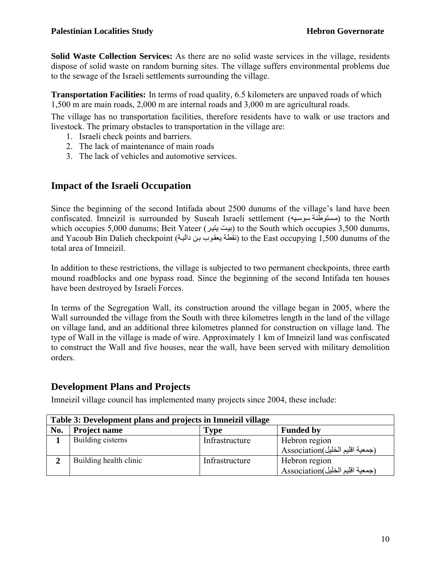**Solid Waste Collection Services:** As there are no solid waste services in the village, residents dispose of solid waste on random burning sites. The village suffers environmental problems due to the sewage of the Israeli settlements surrounding the village.

**Transportation Facilities:** In terms of road quality, 6.5 kilometers are unpaved roads of which 1,500 m are main roads, 2,000 m are internal roads and 3,000 m are agricultural roads.

The village has no transportation facilities, therefore residents have to walk or use tractors and livestock. The primary obstacles to transportation in the village are:

- 1. Israeli check points and barriers.
- 2. The lack of maintenance of main roads
- 3. The lack of vehicles and automotive services.

## **Impact of the Israeli Occupation**

Since the beginning of the second Intifada about 2500 dunums of the village's land have been confiscated. Imneizil is surrounded by Suseah Israeli settlement (مستوطنة سوسيه) to the North which occupies 5,000 dunums; Beit Yateer (بيت يتير) to the South which occupies 3,500 dunums, and Yacoub Bin Dalieh checkpoint (نقطة يعقوب بن دالية) to the East occupying 1,500 dunums of the total area of Imneizil.

In addition to these restrictions, the village is subjected to two permanent checkpoints, three earth mound roadblocks and one bypass road. Since the beginning of the second Intifada ten houses have been destroyed by Israeli Forces.

In terms of the Segregation Wall, its construction around the village began in 2005, where the Wall surrounded the village from the South with three kilometres length in the land of the village on village land, and an additional three kilometres planned for construction on village land. The type of Wall in the village is made of wire. Approximately 1 km of Imneizil land was confiscated to construct the Wall and five houses, near the wall, have been served with military demolition orders.

## **Development Plans and Projects**

Imneizil village council has implemented many projects since 2004, these include:

|     | Table 3: Development plans and projects in Imneizil village |                  |                                                  |  |
|-----|-------------------------------------------------------------|------------------|--------------------------------------------------|--|
| No. | <b>Project name</b>                                         | <b>Funded by</b> |                                                  |  |
|     | Building cisterns                                           | Infrastructure   | Hebron region<br>(جمعية اقليم الخليل)Association |  |
| ∍   | Building health clinic                                      | Infrastructure   | Hebron region<br>(جمعية اقليم الخليل)Association |  |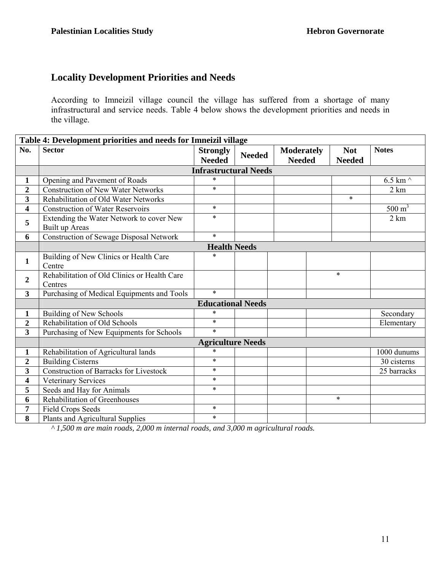## **Locality Development Priorities and Needs**

According to Imneizil village council the village has suffered from a shortage of many infrastructural and service needs. Table 4 below shows the development priorities and needs in the village.

| Table 4: Development priorities and needs for Imneizil village |                                                            |                                  |                                                     |  |                             |                   |  |  |  |  |
|----------------------------------------------------------------|------------------------------------------------------------|----------------------------------|-----------------------------------------------------|--|-----------------------------|-------------------|--|--|--|--|
| No.                                                            | <b>Sector</b>                                              | <b>Strongly</b><br><b>Needed</b> | <b>Moderately</b><br><b>Needed</b><br><b>Needed</b> |  | <b>Not</b><br><b>Needed</b> | <b>Notes</b>      |  |  |  |  |
|                                                                | <b>Infrastructural Needs</b>                               |                                  |                                                     |  |                             |                   |  |  |  |  |
| $\mathbf{1}$                                                   | Opening and Pavement of Roads                              | $\ast$                           |                                                     |  |                             | 6.5 km $\wedge$   |  |  |  |  |
| $\overline{2}$                                                 | <b>Construction of New Water Networks</b>                  | $\ast$                           |                                                     |  |                             | 2 km              |  |  |  |  |
| $\overline{\mathbf{3}}$                                        | Rehabilitation of Old Water Networks                       |                                  |                                                     |  | $\ast$                      |                   |  |  |  |  |
| $\overline{\mathbf{4}}$                                        | <b>Construction of Water Reservoirs</b>                    | $\ast$                           |                                                     |  |                             | $500 \text{ m}^3$ |  |  |  |  |
| 5                                                              | Extending the Water Network to cover New<br>Built up Areas | $\ast$                           |                                                     |  |                             |                   |  |  |  |  |
| 6                                                              | <b>Construction of Sewage Disposal Network</b>             | $\ast$                           |                                                     |  |                             |                   |  |  |  |  |
|                                                                |                                                            | <b>Health Needs</b>              |                                                     |  |                             |                   |  |  |  |  |
| $\mathbf{1}$                                                   | Building of New Clinics or Health Care<br>Centre           | $\ast$                           |                                                     |  |                             |                   |  |  |  |  |
| $\overline{2}$                                                 | Rehabilitation of Old Clinics or Health Care<br>Centres    |                                  |                                                     |  | $\ast$                      |                   |  |  |  |  |
| $\overline{\mathbf{3}}$                                        | Purchasing of Medical Equipments and Tools                 | $\ast$                           |                                                     |  |                             |                   |  |  |  |  |
|                                                                |                                                            | <b>Educational Needs</b>         |                                                     |  |                             |                   |  |  |  |  |
| $\mathbf{1}$                                                   | <b>Building of New Schools</b>                             | $\ast$                           |                                                     |  |                             | Secondary         |  |  |  |  |
| $\overline{2}$                                                 | Rehabilitation of Old Schools                              | $\ast$                           |                                                     |  |                             | Elementary        |  |  |  |  |
| $\overline{\mathbf{3}}$                                        | $\ast$<br>Purchasing of New Equipments for Schools         |                                  |                                                     |  |                             |                   |  |  |  |  |
|                                                                | <b>Agriculture Needs</b>                                   |                                  |                                                     |  |                             |                   |  |  |  |  |
| 1                                                              | Rehabilitation of Agricultural lands                       | $\ast$                           |                                                     |  |                             | 1000 dunums       |  |  |  |  |
| $\overline{2}$                                                 | <b>Building Cisterns</b>                                   | $\ast$                           |                                                     |  |                             | 30 cisterns       |  |  |  |  |
| $\overline{\mathbf{3}}$                                        | <b>Construction of Barracks for Livestock</b>              | $\ast$                           |                                                     |  |                             | 25 barracks       |  |  |  |  |
| 4                                                              | Veterinary Services                                        | $\ast$                           |                                                     |  |                             |                   |  |  |  |  |
| 5                                                              | Seeds and Hay for Animals                                  | $\ast$                           |                                                     |  |                             |                   |  |  |  |  |
| 6                                                              | Rehabilitation of Greenhouses                              |                                  |                                                     |  | $\ast$                      |                   |  |  |  |  |
| 7                                                              | <b>Field Crops Seeds</b>                                   | $\ast$                           |                                                     |  |                             |                   |  |  |  |  |
| 8                                                              | Plants and Agricultural Supplies                           | $\ast$                           |                                                     |  |                             |                   |  |  |  |  |

*^ 1,500 m are main roads, 2,000 m internal roads, and 3,000 m agricultural roads.*